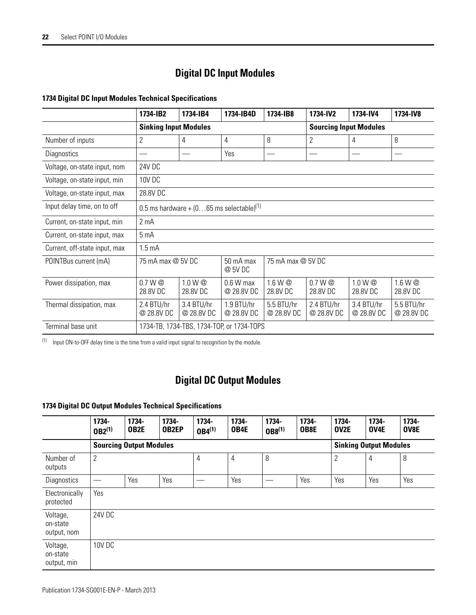# **Digital DC Input Modules**

|                               | 1734-IB2                                                       | 1734-IB4                 | 1734-IB4D                 | 1734-IB8                      | 1734-IV2                       | 1734-IV4                 | 1734-IV8                 |  |  |
|-------------------------------|----------------------------------------------------------------|--------------------------|---------------------------|-------------------------------|--------------------------------|--------------------------|--------------------------|--|--|
|                               | <b>Sinking Input Modules</b>                                   |                          |                           | <b>Sourcing Input Modules</b> |                                |                          |                          |  |  |
| Number of inputs              | $\overline{2}$                                                 | 4                        | 4                         | 8                             | $\overline{2}$                 | 4                        | 8                        |  |  |
| Diagnostics                   |                                                                |                          | Yes                       |                               |                                |                          |                          |  |  |
| Voltage, on-state input, nom  | 24V DC                                                         |                          |                           |                               |                                |                          |                          |  |  |
| Voltage, on-state input, min  | 10V DC                                                         |                          |                           |                               |                                |                          |                          |  |  |
| Voltage, on-state input, max  | 28.8V DC                                                       |                          |                           |                               |                                |                          |                          |  |  |
| Input delay time, on to off   | 0.5 ms hardware + $(065$ ms selectable $)^{(1)}$               |                          |                           |                               |                                |                          |                          |  |  |
| Current, on-state input, min  | 2 <sub>m</sub> A                                               |                          |                           |                               |                                |                          |                          |  |  |
| Current, on-state input, max  | 5 <sub>mA</sub>                                                |                          |                           |                               |                                |                          |                          |  |  |
| Current, off-state input, max | 1.5 <sub>m</sub> A                                             |                          |                           |                               |                                |                          |                          |  |  |
| POINTBus current (mA)         | 50 mA max<br>75 mA max @ 5V DC<br>75 mA max @ 5V DC<br>@ 5V DC |                          |                           |                               |                                |                          |                          |  |  |
| Power dissipation, max        | 0.7 W <sup>@</sup><br>28.8V DC                                 | 1.0 W @<br>28.8V DC      | $0.6 W$ max<br>@ 28.8V DC | 1.6 W @<br>28.8V DC           | 0.7 W <sub>Q</sub><br>28.8V DC | 1.0 W @<br>28.8V DC      | 1.6 W @<br>28.8V DC      |  |  |
| Thermal dissipation, max      | 2.4 BTU/hr<br>@ 28.8V DC                                       | 3.4 BTU/hr<br>@ 28.8V DC | 1.9 BTU/hr<br>@ 28.8V DC  | 5.5 BTU/hr<br>@ 28.8V DC      | 2.4 BTU/hr<br>@ 28.8V DC       | 3.4 BTU/hr<br>@ 28.8V DC | 5.5 BTU/hr<br>@ 28.8V DC |  |  |
| Terminal base unit            | 1734-TB, 1734-TBS, 1734-TOP, or 1734-TOPS                      |                          |                           |                               |                                |                          |                          |  |  |

#### **1734 Digital DC Input Modules Technical Specifications**

(1) Input ON-to-OFF delay time is the time from a valid input signal to recognition by the module.

## **Digital DC Output Modules**

### **1734 Digital DC Output Modules Technical Specifications**

|                                     | 1734-<br>$0B2^{(1)}$           | 1734-<br>OB2E | 1734-<br><b>OB2EP</b> | 1734-<br>$0B4^{(1)}$ | 1734-<br>OB4E | 1734-<br>$0B8^{(1)}$ | 1734-<br>OB8E | 1734-<br>OV2E                 | 1734-<br>OV4E | 1734-<br>OV8E |
|-------------------------------------|--------------------------------|---------------|-----------------------|----------------------|---------------|----------------------|---------------|-------------------------------|---------------|---------------|
|                                     | <b>Sourcing Output Modules</b> |               |                       |                      |               |                      |               | <b>Sinking Output Modules</b> |               |               |
| Number of<br>outputs                | $\overline{2}$                 |               |                       | 4                    | 4             | 8                    |               | $\overline{2}$                | 4             | 8             |
| Diagnostics                         |                                | Yes           | Yes                   |                      | Yes           |                      | Yes           | Yes                           | Yes           | Yes           |
| Electronically<br>protected         | Yes                            |               |                       |                      |               |                      |               |                               |               |               |
| Voltage,<br>on-state<br>output, nom | 24V DC                         |               |                       |                      |               |                      |               |                               |               |               |
| Voltage,<br>on-state<br>output, min | <b>10V DC</b>                  |               |                       |                      |               |                      |               |                               |               |               |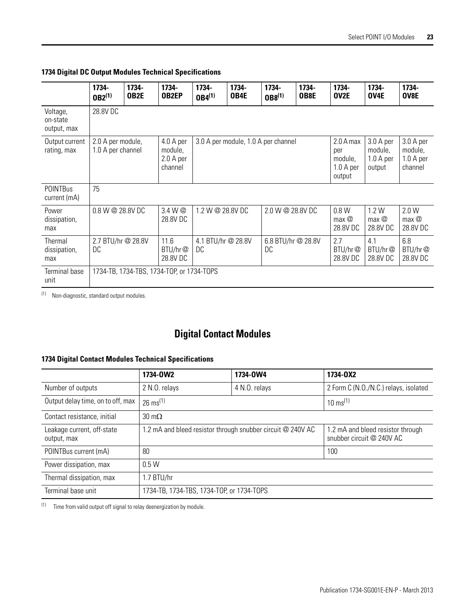**1734 Digital DC Output Modules Technical Specifications**

|                                     | 1734-<br>$0B2^{(1)}$                   | 1734-<br>OB2E | 1734-<br><b>OB2EP</b>                        | 1734-<br>$0B4^{(1)}$     | 1734-<br>OB4E | 1734-<br>$0B8^{(1)}$                | 1734-<br>OB8E | 1734-<br>OV2E                                      | 1734-<br>OV4E                               | 1734-<br>OV8E                                |
|-------------------------------------|----------------------------------------|---------------|----------------------------------------------|--------------------------|---------------|-------------------------------------|---------------|----------------------------------------------------|---------------------------------------------|----------------------------------------------|
| Voltage,<br>on-state<br>output, max | 28.8V DC                               |               |                                              |                          |               |                                     |               |                                                    |                                             |                                              |
| Output current<br>rating, max       | 2.0 A per module,<br>1.0 A per channel |               | 4.0 A per<br>module,<br>2.0 A per<br>channel |                          |               | 3.0 A per module, 1.0 A per channel |               | 2.0 A max<br>per<br>module,<br>1.0 A per<br>output | 3.0 A per<br>module,<br>1.0 A per<br>output | 3.0 A per<br>module,<br>1.0 A per<br>channel |
| <b>POINTBus</b><br>current (mA)     | 75                                     |               |                                              |                          |               |                                     |               |                                                    |                                             |                                              |
| Power<br>dissipation,<br>max        | 0.8 W @ 28.8V DC                       |               | 3.4 W @<br>28.8V DC                          | 1.2 W @ 28.8V DC         |               | 2.0 W @ 28.8V DC                    |               | 0.8 W<br>max @<br>28.8V DC                         | 1.2W<br>max @<br>28.8V DC                   | 2.0 W<br>max @<br>28.8V DC                   |
| Thermal<br>dissipation,<br>max      | 2.7 BTU/hr @ 28.8V<br>DC               |               | 11.6<br>BTU/hr@<br>28.8V DC                  | 4.1 BTU/hr @ 28.8V<br>DC |               | 6.8 BTU/hr @ 28.8V<br>DC            |               | 2.7<br>B T U/hr@<br>28.8V DC                       | 4.1<br>B T U/hr@<br>28.8V DC                | 6.8<br>B T U/hr@<br>28.8V DC                 |
| Terminal base<br>unit               |                                        |               | 1734-TB, 1734-TBS, 1734-TOP, or 1734-TOPS    |                          |               |                                     |               |                                                    |                                             |                                              |

(1) Non-diagnostic, standard output modules.

# **Digital Contact Modules**

#### **1734 Digital Contact Modules Technical Specifications**

|                                           | 1734-0W2                                                    | 1734-0W4                                                       | 1734-0X2                              |  |  |  |
|-------------------------------------------|-------------------------------------------------------------|----------------------------------------------------------------|---------------------------------------|--|--|--|
| Number of outputs                         | 2 N.O. relays                                               | 4 N.O. relays                                                  | 2 Form C (N.O./N.C.) relays, isolated |  |  |  |
| Output delay time, on to off, max         | $26 \text{ ms}^{(1)}$                                       | $10 \text{ ms}^{(1)}$                                          |                                       |  |  |  |
| Contact resistance, initial               | $30 \text{ m}\Omega$                                        |                                                                |                                       |  |  |  |
| Leakage current, off-state<br>output, max | 1.2 mA and bleed resistor through snubber circuit @ 240V AC | 1.2 mA and bleed resistor through<br>snubber circuit @ 240V AC |                                       |  |  |  |
| POINTBus current (mA)                     | 80                                                          | 100                                                            |                                       |  |  |  |
| Power dissipation, max                    | 0.5W                                                        |                                                                |                                       |  |  |  |
| Thermal dissipation, max                  | 1.7 BTU/hr                                                  |                                                                |                                       |  |  |  |
| Terminal base unit                        | 1734-TB, 1734-TBS, 1734-TOP, or 1734-TOPS                   |                                                                |                                       |  |  |  |

 $(1)$  Time from valid output off signal to relay deenergization by module.